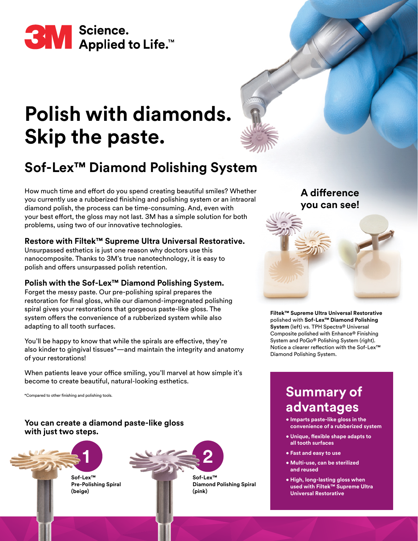

# **Polish with diamonds. Skip the paste.**

# **Sof-Lex™ Diamond Polishing System**

How much time and effort do you spend creating beautiful smiles? Whether you currently use a rubberized finishing and polishing system or an intraoral diamond polish, the process can be time-consuming. And, even with your best effort, the gloss may not last. 3M has a simple solution for both problems, using two of our innovative technologies.

### **Restore with Filtek™ Supreme Ultra Universal Restorative.**

Unsurpassed esthetics is just one reason why doctors use this nanocomposite. Thanks to 3M's true nanotechnology, it is easy to polish and offers unsurpassed polish retention.

### **Polish with the Sof-Lex™ Diamond Polishing System.**

Forget the messy paste. Our pre-polishing spiral prepares the restoration for final gloss, while our diamond-impregnated polishing spiral gives your restorations that gorgeous paste-like gloss. The system offers the convenience of a rubberized system while also adapting to all tooth surfaces.

You'll be happy to know that while the spirals are effective, they're also kinder to gingival tissues\*—and maintain the integrity and anatomy of your restorations!

When patients leave your office smiling, you'll marvel at how simple it's become to create beautiful, natural-looking esthetics.

\*Compared to other finishing and polishing tools.

**You can create a diamond paste-like gloss with just two steps.**





## **A difference you can see!**

#### **Filtek™ Supreme Ultra Universal Restorative** polished with **Sof-Lex™ Diamond Polishing System** (left) vs. TPH Spectra® Universal Composite polished with Enhance® Finishing System and PoGo® Polishing System (right). Notice a clearer reflection with the Sof-Lex™ Diamond Polishing System.

### **Summary of advantages**

- **Imparts paste-like gloss in the convenience of a rubberized system**
- **Unique, flexible shape adapts to all tooth surfaces**
- **Fast and easy to use**
- **Multi-use, can be sterilized and reused**
- **High, long-lasting gloss when used with Filtek™ Supreme Ultra Universal Restorative**